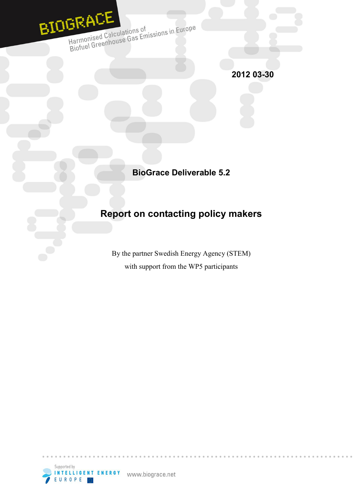

Harmonised Calculations of<br>Harmonised Calculations of<br>Biofuel Greenhouse Gas Emissions in Europe

**2012 03-30** 

**BioGrace Deliverable 5.2** 

# **Report on contacting policy makers**

By the partner Swedish Energy Agency (STEM) with support from the WP5 participants

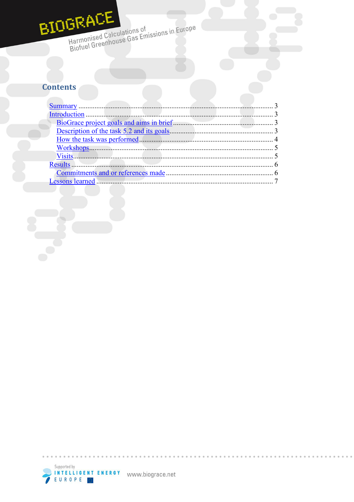# BIOGRACE

Harmonised Calculations of<br>Biofuel Greenhouse Gas Emissions in Europe

# **Contents**

| Results. |  |
|----------|--|
|          |  |
|          |  |
|          |  |



 $\sim$   $\sim$  $\sim$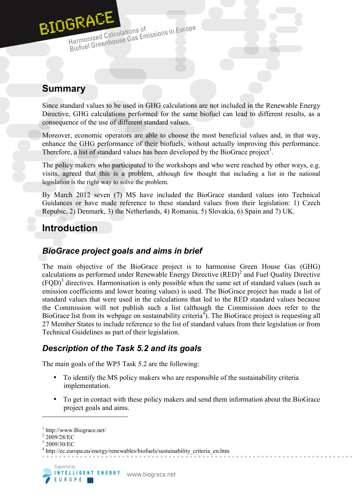

Harmonised Calculations of<br>Biofuel Greenhouse Gas Emissions in Europe Harmonised Calculations of

# **Summary**

Since standard values to be used in GHG calculations are not included in the Renewable Energy Directive, GHG calculations performed for the same biofuel can lead to different results, as a consequence of the use of different standard values.

Moreover, economic operators are able to choose the most beneficial values and, in that way, enhance the GHG performance of their biofuels, without actually improving this performance. Therefore, a list of standard values has been developed by the BioGrace project<sup>1</sup>.

The policy makers who participated to the workshops and who were reached by other ways, e.g. visits, agreed that this is a problem, although few thought that including a list in the national legislation is the right way to solve the problem.

By March 2012 seven (7) MS have included the BioGrace standard values into Technical Guidances or have made reference to these standard values from their legislation: 1) Czech Repubic, 2) Denmark, 3) the Netherlands, 4) Romania, 5) Slovakia, 6) Spain and 7) UK.

# **Introduction**

## *BioGrace project goals and aims in brief*

The main objective of the BioGrace project is to harmonise Green House Gas (GHG) calculations as performed under Renewable Energy Directive  $(RED)^2$  and Fuel Quality Directive  $(FQD)^3$  directives. Harmonisation is only possible when the same set of standard values (such as emission coefficients and lower heating values) is used. The BioGrace project has made a list of standard values that were used in the calculations that led to the RED standard values because the Commission will not publish such a list (although the Commission does refer to the BioGrace list from its webpage on sustainability criteria<sup>4</sup>). The BioGrace project is requesting all 27 Member States to include reference to the list of standard values from their legislation or from Technical Guidelines as part of their legislation.

## *Description of the Task 5.2 and its goals*

The main goals of the WP5 Task 5.2 are the following:

- To identify the MS policy makers who are responsible of the sustainability criteria implementation.
- To get in contact with these policy makers and send them information about the BioGrace project goals and aims.

 $1$  http://www.Biograce.net/

 $2\,2009/28/EC$ 

<sup>3</sup> 2009/30/EC

<sup>4</sup> http://ec.europa.eu/energy/renewables/biofuels/sustainability\_criteria\_en.htm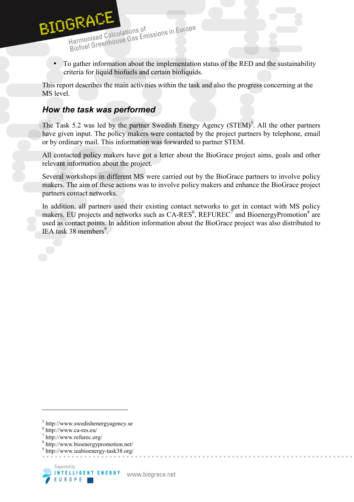

Harmonised Calculations of<br>Biofuel Greenhouse Gas Emissions in Europe Harmonised Calculations of

• To gather information about the implementation status of the RED and the sustainability criteria for liquid biofuels and certain bioliquids.

This report describes the main activities within the task and also the progress concerning at the MS level.

#### *How the task was performed*

The Task 5.2 was led by the partner Swedish Energy Agency  $(STEM)^5$ . All the other partners have given input. The policy makers were contacted by the project partners by telephone, email or by ordinary mail. This information was forwarded to partner STEM.

All contacted policy makers have got a letter about the BioGrace project aims, goals and other relevant information about the project.

Several workshops in different MS were carried out by the BioGrace partners to involve policy makers. The aim of these actions was to involve policy makers and enhance the BioGrace project partners contact networks.

In addition, all partners used their existing contact networks to get in contact with MS policy makers. EU projects and networks such as  $CA-RES^6$ ,  $REFUREC^7$  and BioenergyPromotion<sup>8</sup> are used as contact points. In addition information about the BioGrace project was also distributed to IEA task 38 members<sup>9</sup>.

<sup>9</sup> http://www.ieabioenergy-task38.org/



<sup>5</sup> http://www.swedishenergyagency.se

 $6$  http://www.ca-res.eu/

<sup>7</sup> http://www.refurec.org/

<sup>8</sup> http://www.bioenergypromotion.net/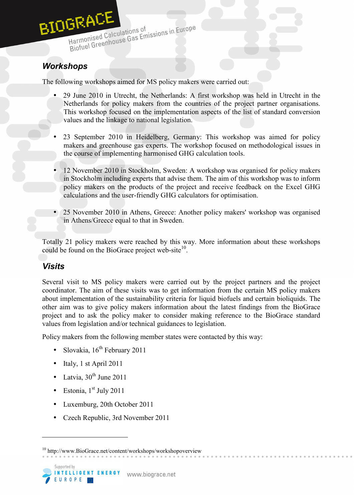

## *Workshops*

The following workshops aimed for MS policy makers were carried out:

- 29 June 2010 in Utrecht, the Netherlands: A first workshop was held in Utrecht in the Netherlands for policy makers from the countries of the project partner organisations. This workshop focused on the implementation aspects of the list of standard conversion values and the linkage to national legislation.
- 23 September 2010 in Heidelberg, Germany: This workshop was aimed for policy makers and greenhouse gas experts. The workshop focused on methodological issues in the course of implementing harmonised GHG calculation tools.
- 12 November 2010 in Stockholm, Sweden: A workshop was organised for policy makers in Stockholm including experts that advise them. The aim of this workshop was to inform policy makers on the products of the project and receive feedback on the Excel GHG calculations and the user-friendly GHG calculators for optimisation.
- 25 November 2010 in Athens, Greece: Another policy makers' workshop was organised in Athens/Greece equal to that in Sweden.

Totally 21 policy makers were reached by this way. More information about these workshops could be found on the BioGrace project web-site $10$ .

#### *Visits*

Several visit to MS policy makers were carried out by the project partners and the project coordinator. The aim of these visits was to get information from the certain MS policy makers about implementation of the sustainability criteria for liquid biofuels and certain bioliquids. The other aim was to give policy makers information about the latest findings from the BioGrace project and to ask the policy maker to consider making reference to the BioGrace standard values from legislation and/or technical guidances to legislation.

Policy makers from the following member states were contacted by this way:

- Slovakia, 16<sup>th</sup> February 2011
- Italy, 1 st April  $2011$
- Latvia,  $30<sup>th</sup>$  June 2011
- Estonia,  $1<sup>st</sup>$  July 2011
- Luxemburg, 20th October 2011
- Czech Republic, 3rd November 2011

<sup>10</sup> http://www.BioGrace.net/content/workshops/workshopoverview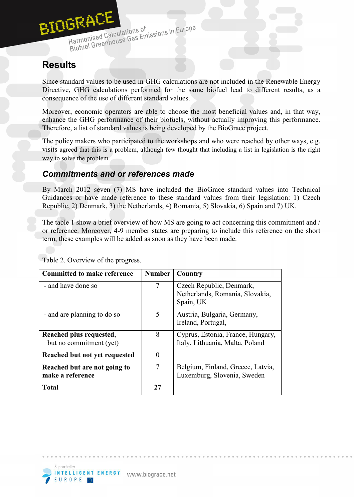

# **Results**

Since standard values to be used in GHG calculations are not included in the Renewable Energy Directive, GHG calculations performed for the same biofuel lead to different results, as a consequence of the use of different standard values.

Moreover, economic operators are able to choose the most beneficial values and, in that way, enhance the GHG performance of their biofuels, without actually improving this performance. Therefore, a list of standard values is being developed by the BioGrace project.

The policy makers who participated to the workshops and who were reached by other ways, e.g. visits agreed that this is a problem, although few thought that including a list in legislation is the right way to solve the problem.

#### *Commitments and or references made*

By March 2012 seven (7) MS have included the BioGrace standard values into Technical Guidances or have made reference to these standard values from their legislation: 1) Czech Republic, 2) Denmark, 3) the Netherlands, 4) Romania, 5) Slovakia, 6) Spain and 7) UK.

The table 1 show a brief overview of how MS are going to act concerning this commitment and / or reference. Moreover, 4-9 member states are preparing to include this reference on the short term, these examples will be added as soon as they have been made.

| <b>Committed to make reference</b>                 | <b>Number</b>  | Country                                                                  |
|----------------------------------------------------|----------------|--------------------------------------------------------------------------|
| - and have done so                                 | $\overline{7}$ | Czech Republic, Denmark,<br>Netherlands, Romania, Slovakia,<br>Spain, UK |
| - and are planning to do so                        | 5              | Austria, Bulgaria, Germany,<br>Ireland, Portugal,                        |
| Reached plus requested,<br>but no commitment (yet) | 8              | Cyprus, Estonia, France, Hungary,<br>Italy, Lithuania, Malta, Poland     |
| Reached but not yet requested                      | 0              |                                                                          |
| Reached but are not going to<br>make a reference   | 7              | Belgium, Finland, Greece, Latvia,<br>Luxemburg, Slovenia, Sweden         |
| <b>Total</b>                                       | 27             |                                                                          |

Table 2. Overview of the progress.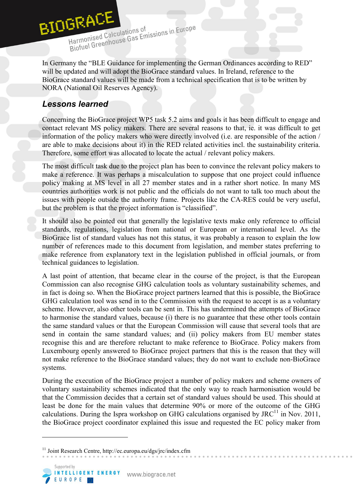

Harmonised Calculations of<br>Biofuel Greenhouse Gas Emissions in Europe Harmonised Calculations of

In Germany the "BLE Guidance for implementing the German Ordinances according to RED" will be updated and will adopt the BioGrace standard values. In Ireland, reference to the BioGrace standard values will be made from a technical specification that is to be written by NORA (National Oil Reserves Agency).

### *Lessons learned*

Concerning the BioGrace project WP5 task 5.2 aims and goals it has been difficult to engage and contact relevant MS policy makers. There are several reasons to that, ie. it was difficult to get information of the policy makers who were directly involved (i.e. are responsible of the action / are able to make decisions about it) in the RED related activities incl. the sustainability criteria. Therefore, some effort was allocated to locate the actual / relevant policy makers.

The most difficult task due to the project plan has been to convince the relevant policy makers to make a reference. It was perhaps a miscalculation to suppose that one project could influence policy making at MS level in all 27 member states and in a rather short notice. In many MS countries authorities work is not public and the officials do not want to talk too much about the issues with people outside the authority frame. Projects like the CA-RES could be very useful, but the problem is that the project information is "classified".

It should also be pointed out that generally the legislative texts make only reference to official standards, regulations, legislation from national or European or international level. As the BioGrace list of standard values has not this status, it was probably a reason to explain the low number of references made to this document from legislation, and member states preferring to make reference from explanatory text in the legislation published in official journals, or from technical guidances to legislation.

A last point of attention, that became clear in the course of the project, is that the European Commission can also recognise GHG calculation tools as voluntary sustainability schemes, and in fact is doing so. When the BioGrace project partners learned that this is possible, the BioGrace GHG calculation tool was send in to the Commission with the request to accept is as a voluntary scheme. However, also other tools can be sent in. This has undermined the attempts of BioGrace to harmonise the standard values, because (i) there is no guarantee that these other tools contain the same standard values or that the European Commission will cause that several tools that are send in contain the same standard values; and (ii) policy makers from EU member states recognise this and are therefore reluctant to make reference to BioGrace. Policy makers from Luxembourg openly answered to BioGrace project partners that this is the reason that they will not make reference to the BioGrace standard values; they do not want to exclude non-BioGrace systems.

During the execution of the BioGrace project a number of policy makers and scheme owners of voluntary sustainability schemes indicated that the only way to reach harmonisation would be that the Commission decides that a certain set of standard values should be used. This should at least be done for the main values that determine 90% or more of the outcome of the GHG calculations. During the Ispra workshop on GHG calculations organised by JRC<sup>11</sup> in Nov. 2011, the BioGrace project coordinator explained this issue and requested the EC policy maker from

<sup>&</sup>lt;sup>11</sup> Joint Research Centre, http://ec.europa.eu/dgs/jrc/index.cfm